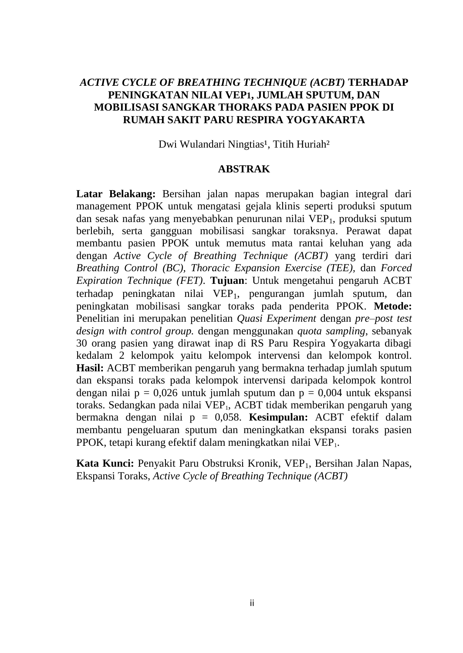## *ACTIVE CYCLE OF BREATHING TECHNIQUE (ACBT)* **TERHADAP PENINGKATAN NILAI VEP1, JUMLAH SPUTUM, DAN MOBILISASI SANGKAR THORAKS PADA PASIEN PPOK DI RUMAH SAKIT PARU RESPIRA YOGYAKARTA**

Dwi Wulandari Ningtias<sup>1</sup>, Titih Huriah<sup>2</sup>

## **ABSTRAK**

**Latar Belakang:** Bersihan jalan napas merupakan bagian integral dari management PPOK untuk mengatasi gejala klinis seperti produksi sputum dan sesak nafas yang menyebabkan penurunan nilai VEP<sub>1</sub>, produksi sputum berlebih, serta gangguan mobilisasi sangkar toraksnya. Perawat dapat membantu pasien PPOK untuk memutus mata rantai keluhan yang ada dengan *Active Cycle of Breathing Technique (ACBT)* yang terdiri dari *Breathing Control (BC), Thoracic Expansion Exercise (TEE),* dan *Forced Expiration Technique (FET)*. **Tujuan**: Untuk mengetahui pengaruh ACBT terhadap peningkatan nilai VEP<sub>1</sub>, pengurangan jumlah sputum, dan peningkatan mobilisasi sangkar toraks pada penderita PPOK. **Metode:** Penelitian ini merupakan penelitian *Quasi Experiment* dengan *pre–post test design with control group.* dengan menggunakan *quota sampling*, sebanyak 30 orang pasien yang dirawat inap di RS Paru Respira Yogyakarta dibagi kedalam 2 kelompok yaitu kelompok intervensi dan kelompok kontrol. **Hasil:** ACBT memberikan pengaruh yang bermakna terhadap jumlah sputum dan ekspansi toraks pada kelompok intervensi daripada kelompok kontrol dengan nilai  $p = 0.026$  untuk jumlah sputum dan  $p = 0.004$  untuk ekspansi toraks. Sedangkan pada nilai VEP<sub>1</sub>, ACBT tidak memberikan pengaruh yang bermakna dengan nilai p = 0,058. **Kesimpulan:** ACBT efektif dalam membantu pengeluaran sputum dan meningkatkan ekspansi toraks pasien PPOK, tetapi kurang efektif dalam meningkatkan nilai VEP<sub>1</sub>.

Kata Kunci: Penyakit Paru Obstruksi Kronik, VEP<sub>1</sub>, Bersihan Jalan Napas, Ekspansi Toraks, *Active Cycle of Breathing Technique (ACBT)*